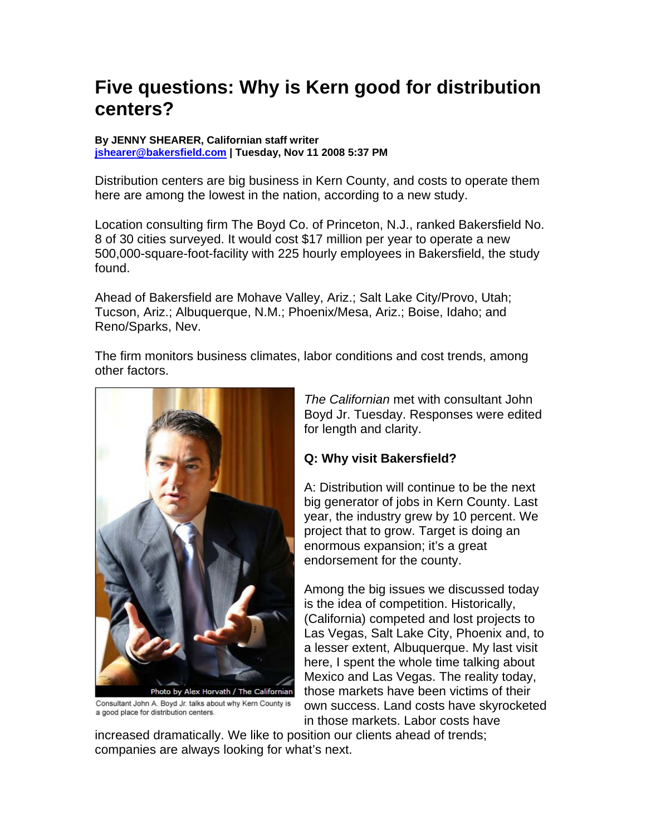# **Five questions: Why is Kern good for distribution centers?**

#### **By JENNY SHEARER, Californian staff writer [jshearer@bakersfield.com](mailto:jshearer@bakersfield.com) | Tuesday, Nov 11 2008 5:37 PM**

Distribution centers are big business in Kern County, and costs to operate them here are among the lowest in the nation, according to a new study.

Location consulting firm The Boyd Co. of Princeton, N.J., ranked Bakersfield No. 8 of 30 cities surveyed. It would cost \$17 million per year to operate a new 500,000-square-foot-facility with 225 hourly employees in Bakersfield, the study found.

Ahead of Bakersfield are Mohave Valley, Ariz.; Salt Lake City/Provo, Utah; Tucson, Ariz.; Albuquerque, N.M.; Phoenix/Mesa, Ariz.; Boise, Idaho; and Reno/Sparks, Nev.

The firm monitors business climates, labor conditions and cost trends, among other factors.



Consultant John A. Boyd Jr. talks about why Kern County is a good place for distribution centers.

*The Californian* met with consultant John Boyd Jr. Tuesday. Responses were edited for length and clarity.

# **Q: Why visit Bakersfield?**

A: Distribution will continue to be the next big generator of jobs in Kern County. Last year, the industry grew by 10 percent. We project that to grow. Target is doing an enormous expansion; it's a great endorsement for the county.

Among the big issues we discussed today is the idea of competition. Historically, (California) competed and lost projects to Las Vegas, Salt Lake City, Phoenix and, to a lesser extent, Albuquerque. My last visit here, I spent the whole time talking about Mexico and Las Vegas. The reality today, those markets have been victims of their own success. Land costs have skyrocketed in those markets. Labor costs have

increased dramatically. We like to position our clients ahead of trends; companies are always looking for what's next.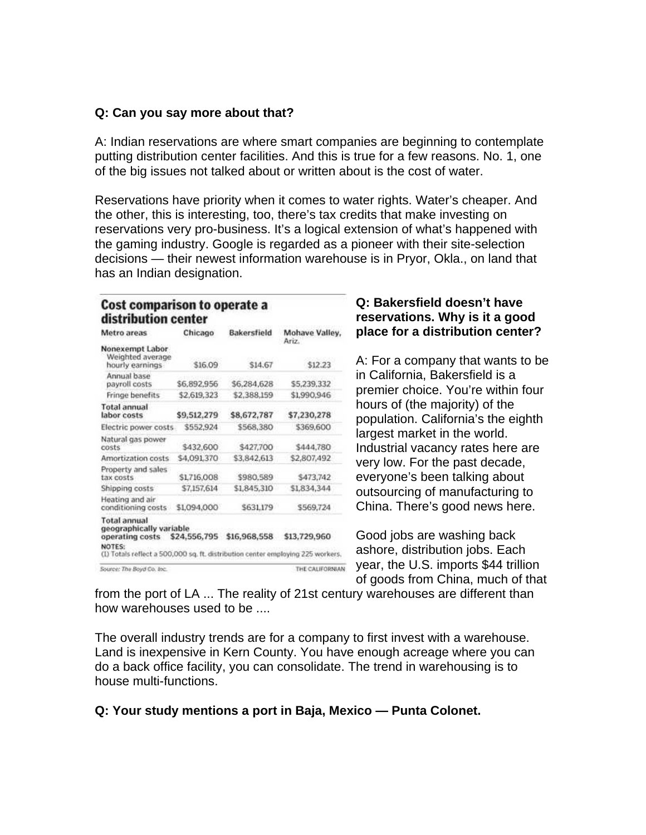## **Q: Can you say more about that?**

A: Indian reservations are where smart companies are beginning to contemplate putting distribution center facilities. And this is true for a few reasons. No. 1, one of the big issues not talked about or written about is the cost of water.

Reservations have priority when it comes to water rights. Water's cheaper. And the other, this is interesting, too, there's tax credits that make investing on reservations very pro-business. It's a logical extension of what's happened with the gaming industry. Google is regarded as a pioneer with their site-selection decisions — their newest information warehouse is in Pryor, Okla., on land that has an Indian designation.

#### Cost comparison to operate a distribution center

| Metro areas                                                                                                                                                    | Chicago      | Bakersfield  | Mohave Valley,<br>Ariz. |
|----------------------------------------------------------------------------------------------------------------------------------------------------------------|--------------|--------------|-------------------------|
| Nonexempt Labor<br>Weighted average<br>hourly earnings                                                                                                         | \$16.09      | \$14.67      | \$12.23                 |
| Annual base<br>payroll costs                                                                                                                                   | \$6,892,956  | \$6,284,628  | \$5,239,332             |
| Fringe benefits                                                                                                                                                | \$2,619,323  | \$2,388,159  | \$1,990,946             |
| <b>Total annual</b><br>labor costs                                                                                                                             | \$9,512,279  | \$8,672,787  | \$7,230,278             |
| Electric power costs.                                                                                                                                          | \$552,924    | \$568,380    | \$369,600               |
| Natural gas power<br>costs                                                                                                                                     | \$432,600    | \$427,700    | \$444,780               |
| Amortization costs                                                                                                                                             | \$4,091,370  | \$3,842,613  | \$2,807,492             |
| Property and sales<br>tax costs                                                                                                                                | \$1716,008   | \$980,589    | \$473,742               |
| Shipping costs                                                                                                                                                 | \$7,157,614  | \$1,845,310  | \$1,834,344             |
| Heating and air<br>conditioning costs                                                                                                                          | \$1,094,000  | \$631,179    | \$569,724               |
| <b>Total annual</b><br>geographically variable<br>operating costs<br>NOTES:<br>(1) Totals reflect a 500,000 sq. ft. distribution center employing 225 workers. | \$24,556,795 | \$16,968,558 | \$13,729,960            |
| Source: The Boyd Co. Inc.                                                                                                                                      |              |              | THE CALIFORNIA!         |

## **Q: Bakersfield doesn't have reservations. Why is it a good place for a distribution center?**

A: For a company that wants to be in California, Bakersfield is a premier choice. You're within four hours of (the majority) of the population. California's the eighth largest market in the world. Industrial vacancy rates here are very low. For the past decade, everyone's been talking about outsourcing of manufacturing to China. There's good news here.

Good jobs are washing back ashore, distribution jobs. Each year, the U.S. imports \$44 trillion of goods from China, much of that

from the port of LA ... The reality of 21st century warehouses are different than how warehouses used to be ....

The overall industry trends are for a company to first invest with a warehouse. Land is inexpensive in Kern County. You have enough acreage where you can do a back office facility, you can consolidate. The trend in warehousing is to house multi-functions.

## **Q: Your study mentions a port in Baja, Mexico — Punta Colonet.**